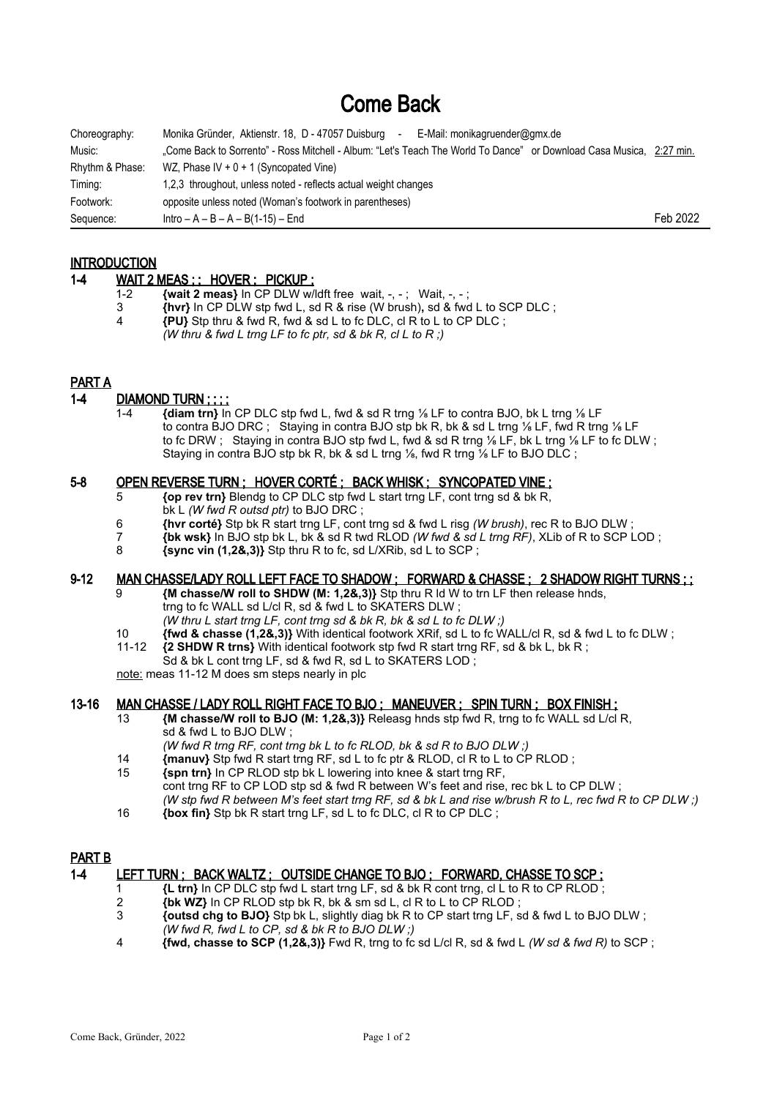# Come Back

| Choreography:   | Monika Gründer, Aktienstr. 18, D - 47057 Duisburg<br>E-Mail: monikagruender@gmx.de<br>$\sim$                         |          |
|-----------------|----------------------------------------------------------------------------------------------------------------------|----------|
| Music:          | "Come Back to Sorrento" - Ross Mitchell - Album: "Let's Teach The World To Dance" or Download Casa Musica, 2:27 min. |          |
| Rhythm & Phase: | WZ, Phase IV + $0 + 1$ (Syncopated Vine)                                                                             |          |
| Timing:         | 1.2.3 throughout, unless noted - reflects actual weight changes                                                      |          |
| Footwork:       | opposite unless noted (Woman's footwork in parentheses)                                                              |          |
| Sequence:       | $Intro - A - B - A - B(1-15) - End$                                                                                  | Feb 2022 |

# **INTRODUCTION**

#### 1-4 WAIT 2 MEAS ; ; HOVER ; PICKUP ;

- 1-2 **{wait 2 meas}** In CP DLW w/ldft free wait, -, -; Wait, -, -;<br>3 *Ihyri* In CP DLW sto fwd L, sd R & rise (W brush), sd & fwd
- 3 **{hvr}** In CP DLW stp fwd L, sd R & rise (W brush)**,** sd & fwd L to SCP DLC ;
- 4 **{PU}** Stp thru & fwd R, fwd & sd L to fc DLC, cl R to L to CP DLC ;
- *(W thru & fwd L trng LF to fc ptr, sd & bk R, cl L to R ;)*

# PART A

# 1-4 DIAMOND TURN ; ; ; ;

 1-4 **{diam trn}** In CP DLC stp fwd L, fwd & sd R trng ⅛ LF to contra BJO, bk L trng ⅛ LF to contra BJO DRC ; Staying in contra BJO stp bk R, bk & sd L trng ⅛ LF, fwd R trng ⅛ LF to fc DRW ; Staying in contra BJO stp fwd L, fwd & sd R trng ⅛ LF, bk L trng ⅛ LF to fc DLW ; Staying in contra BJO stp bk R, bk & sd L trng 1/6, fwd R trng 1/6 LF to BJO DLC :

#### 5-8 OPEN REVERSE TURN ; HOVER CORTÉ ; BACK WHISK ; SYNCOPATED VINE ;

- 5 **{op rev trn}** Blendg to CP DLC stp fwd L start trng LF, cont trng sd & bk R,
- bk L *(W fwd R outsd ptr)* to BJO DRC ;
- 6 **{hvr corté}** Stp bk R start trng LF, cont trng sd & fwd L risg *(W brush)*, rec R to BJO DLW ;
- 7 **{bk wsk}** In BJO stp bk L, bk & sd R twd RLOD *(W fwd & sd L trng RF)*, XLib of R to SCP LOD ;
- 8 **{sync vin (1,2&,3)}** Stp thru R to fc, sd L/XRib, sd L to SCP ;

#### 9-12 MAN CHASSE/LADY ROLL LEFT FACE TO SHADOW ; FORWARD & CHASSE ; 2 SHADOW RIGHT TURNS ; ;

- 9 **{M chasse/W roll to SHDW (M: 1,2&,3)}** Stp thru R ld W to trn LF then release hnds, trng to fc WALL sd L/cl R, sd & fwd L to SKATERS DLW ;
	- *(W thru L start trng LF, cont trng sd & bk R, bk & sd L to fc DLW ;)*
- 10 **{fwd & chasse (1,2&,3)}** With identical footwork XRif, sd L to fc WALL/cl R, sd & fwd L to fc DLW ;<br>11-12 *{2}* **SHDW R trns}** With identical footwork stn fwd R start trng RE sd & bk L bk R · 11-12 **{2 SHDW R trns}** With identical footwork stp fwd R start trng RF, sd & bk L, bk R ;
- Sd & bk L cont trng LF, sd & fwd R, sd L to SKATERS LOD;

note: meas 11-12 M does sm steps nearly in plc

# 13-16 MAN CHASSE / LADY ROLL RIGHT FACE TO BJO ; MANEUVER ; SPIN TURN ; BOX FINISH ;

- 13 **{M chasse/W roll to BJO (M: 1,2&,3)}** Releasg hnds stp fwd R, trng to fc WALL sd L/cl R, sd & fwd L to BJO DLW ;
- *(W fwd R trng RF, cont trng bk L to fc RLOD, bk & sd R to BJO DLW ;)*
- 14 **{manuv}** Stp fwd R start trng RF, sd L to fc ptr & RLOD, cl R to L to CP RLOD ; 15 **{spn trn}** In CP RLOD stp bk L lowering into knee & start trng RF,
- cont trng RF to CP LOD stp sd & fwd R between W's feet and rise, rec bk L to CP DLW ; *(W stp fwd R between M's feet start trng RF, sd & bk L and rise w/brush R to L, rec fwd R to CP DLW ;)*
- 16 **{box fin}** Stp bk R start trng LF, sd L to fc DLC, cl R to CP DLC ;

# PART B

# 1-4 LEFT TURN ; BACK WALTZ ; OUTSIDE CHANGE TO BJO ; FORWARD, CHASSE TO SCP ;

- 1 **{L trn}** In CP DLC stp fwd L start trng LF, sd & bk R cont trng, cl L to R to CP RLOD ;
- 2 **{bk WZ}** In CP RLOD stp bk R, bk & sm sd L, cl R to L to CP RLOD;
- 3 **{outsd chg to BJO}** Stp bk L, slightly diag bk R to CP start trng LF, sd & fwd L to BJO DLW ; *(W fwd R, fwd L to CP, sd & bk R to BJO DLW ;)*
- 4 **{fwd, chasse to SCP (1,2&,3)}** Fwd R, trng to fc sd L/cl R, sd & fwd L *(W sd & fwd R)* to SCP ;